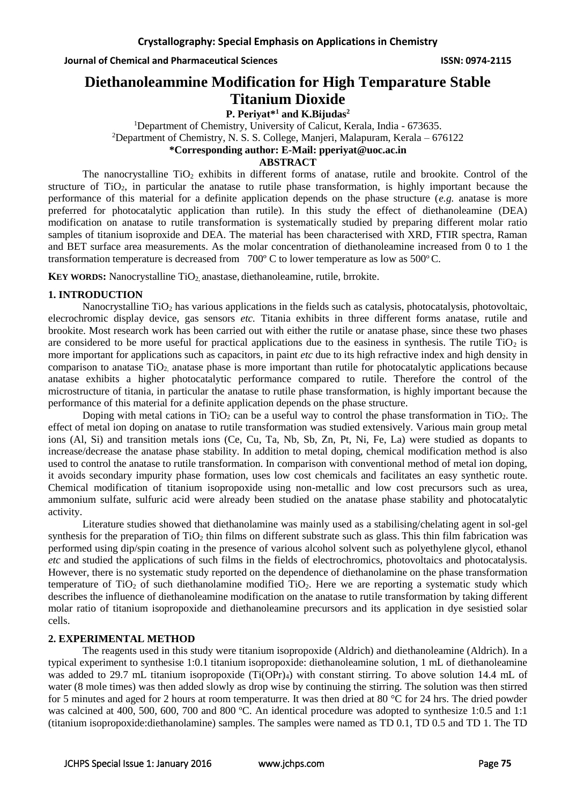# **Diethanoleammine Modification for High Temparature Stable Titanium Dioxide**

**P. Periyat\*<sup>1</sup> and K.Bijudas<sup>2</sup>** <sup>1</sup>Department of Chemistry, University of Calicut, Kerala, India - 673635. <sup>2</sup>Department of Chemistry, N. S. S. College, Manjeri, Malapuram, Kerala – 676122 **\*Corresponding author: E-Mail: pperiyat@uoc.ac.in**

# **ABSTRACT**

The nanocrystalline  $TiO<sub>2</sub>$  exhibits in different forms of anatase, rutile and brookite. Control of the structure of TiO<sub>2</sub>, in particular the anatase to rutile phase transformation, is highly important because the performance of this material for a definite application depends on the phase structure (*e.g.* anatase is more preferred for photocatalytic application than rutile). In this study the effect of diethanoleamine (DEA) modification on anatase to rutile transformation is systematically studied by preparing different molar ratio samples of titanium isoproxide and DEA. The material has been characterised with XRD, FTIR spectra, Raman and BET surface area measurements. As the molar concentration of diethanoleamine increased from 0 to 1 the transformation temperature is decreased from  $700^{\circ}$  C to lower temperature as low as  $500^{\circ}$ C.

**KEY WORDS:** Nanocrystalline TiO<sub>2</sub> anastase, diethanoleamine, rutile, brrokite.

### **1. INTRODUCTION**

Nanocrystalline TiO<sup>2</sup> has various applications in the fields such as catalysis, photocatalysis, photovoltaic, elecrochromic display device, gas sensors *etc.* Titania exhibits in three different forms anatase, rutile and brookite. Most research work has been carried out with either the rutile or anatase phase, since these two phases are considered to be more useful for practical applications due to the easiness in synthesis. The rutile  $TiO<sub>2</sub>$  is more important for applications such as capacitors, in paint *etc* due to its high refractive index and high density in comparison to anatase  $TiO<sub>2</sub>$  anatase phase is more important than rutile for photocatalytic applications because anatase exhibits a higher photocatalytic performance compared to rutile. Therefore the control of the microstructure of titania, in particular the anatase to rutile phase transformation, is highly important because the performance of this material for a definite application depends on the phase structure.

Doping with metal cations in TiO<sub>2</sub> can be a useful way to control the phase transformation in TiO<sub>2</sub>. The effect of metal ion doping on anatase to rutile transformation was studied extensively. Various main group metal ions (Al, Si) and transition metals ions (Ce, Cu, Ta, Nb, Sb, Zn, Pt, Ni, Fe, La) were studied as dopants to increase/decrease the anatase phase stability. In addition to metal doping, chemical modification method is also used to control the anatase to rutile transformation. In comparison with conventional method of metal ion doping, it avoids secondary impurity phase formation, uses low cost chemicals and facilitates an easy synthetic route. Chemical modification of titanium isopropoxide using non-metallic and low cost precursors such as urea, ammonium sulfate, sulfuric acid were already been studied on the anatase phase stability and photocatalytic activity.

Literature studies showed that diethanolamine was mainly used as a stabilising/chelating agent in sol-gel synthesis for the preparation of  $TiO<sub>2</sub>$  thin films on different substrate such as glass. This thin film fabrication was performed using dip/spin coating in the presence of various alcohol solvent such as polyethylene glycol, ethanol *etc* and studied the applications of such films in the fields of electrochromics, photovoltaics and photocatalysis. However, there is no systematic study reported on the dependence of diethanolamine on the phase transformation temperature of  $TiO<sub>2</sub>$  of such diethanolamine modified  $TiO<sub>2</sub>$ . Here we are reporting a systematic study which describes the influence of diethanoleamine modification on the anatase to rutile transformation by taking different molar ratio of titanium isopropoxide and diethanoleamine precursors and its application in dye sesistied solar cells.

### **2. EXPERIMENTAL METHOD**

The reagents used in this study were titanium isopropoxide (Aldrich) and diethanoleamine (Aldrich). In a typical experiment to synthesise 1:0.1 titanium isopropoxide: diethanoleamine solution, 1 mL of diethanoleamine was added to 29.7 mL titanium isopropoxide  $(Ti(OPr)_4)$  with constant stirring. To above solution 14.4 mL of water (8 mole times) was then added slowly as drop wise by continuing the stirring. The solution was then stirred for 5 minutes and aged for 2 hours at room temperaturre. It was then dried at 80 °C for 24 hrs. The dried powder was calcined at 400, 500, 600, 700 and 800 °C. An identical procedure was adopted to synthesize 1:0.5 and 1:1 (titanium isopropoxide:diethanolamine) samples. The samples were named as TD 0.1, TD 0.5 and TD 1. The TD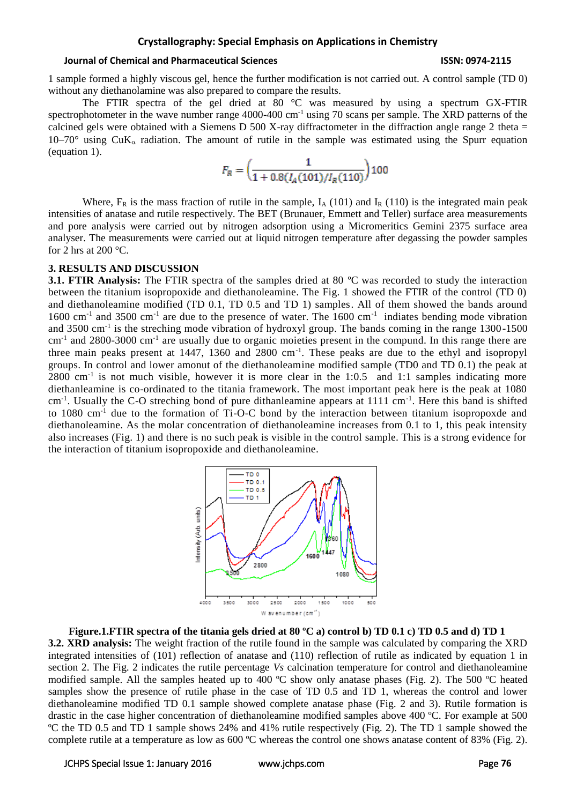#### **Crystallography: Special Emphasis on Applications in Chemistry**

#### **Journal of Chemical and Pharmaceutical Sciences ISSN: 0974-2115**

1 sample formed a highly viscous gel, hence the further modification is not carried out. A control sample (TD 0) without any diethanolamine was also prepared to compare the results.

The FTIR spectra of the gel dried at 80 °C was measured by using a spectrum GX-FTIR spectrophotometer in the wave number range 4000-400 cm<sup>-1</sup> using 70 scans per sample. The XRD patterns of the calcined gels were obtained with a Siemens D 500 X-ray diffractometer in the diffraction angle range 2 theta = 10–70° using CuK<sub>α</sub> radiation. The amount of rutile in the sample was estimated using the Spurr equation (equation 1).

$$
F_R = \left(\frac{1}{1 + 0.8(I_A(101)/I_R(110)})\right)100
$$

Where,  $F_R$  is the mass fraction of rutile in the sample,  $I_A$  (101) and  $I_R$  (110) is the integrated main peak intensities of anatase and rutile respectively. The BET (Brunauer, Emmett and Teller) surface area measurements and pore analysis were carried out by nitrogen adsorption using a Micromeritics Gemini 2375 surface area analyser. The measurements were carried out at liquid nitrogen temperature after degassing the powder samples for 2 hrs at 200  $^{\circ}$ C.

#### **3. RESULTS AND DISCUSSION**

**3.1. FTIR Analysis:** The FTIR spectra of the samples dried at 80 °C was recorded to study the interaction between the titanium isopropoxide and diethanoleamine. The Fig. 1 showed the FTIR of the control (TD 0) and diethanoleamine modified (TD 0.1, TD 0.5 and TD 1) samples. All of them showed the bands around 1600 cm<sup>-1</sup> and 3500 cm<sup>-1</sup> are due to the presence of water. The 1600 cm<sup>-1</sup> indiates bending mode vibration and 3500 cm<sup>-1</sup> is the streching mode vibration of hydroxyl group. The bands coming in the range 1300-1500 cm<sup>-1</sup> and 2800-3000 cm<sup>-1</sup> are usually due to organic moieties present in the compund. In this range there are three main peaks present at 1447, 1360 and 2800 cm<sup>-1</sup>. These peaks are due to the ethyl and isopropyl groups. In control and lower amonut of the diethanoleamine modified sample (TD0 and TD 0.1) the peak at 2800 cm<sup>-1</sup> is not much visible, however it is more clear in the 1:0.5 and 1:1 samples indicating more diethanleamine is co-ordinated to the titania framework. The most important peak here is the peak at 1080 cm<sup>-1</sup>. Usually the C-O streching bond of pure dithanleamine appears at 1111 cm<sup>-1</sup>. Here this band is shifted to 1080 cm-1 due to the formation of Ti-O-C bond by the interaction between titanium isopropoxde and diethanoleamine. As the molar concentration of diethanoleamine increases from 0.1 to 1, this peak intensity also increases (Fig. 1) and there is no such peak is visible in the control sample. This is a strong evidence for the interaction of titanium isopropoxide and diethanoleamine.



# **Figure.1.FTIR spectra of the titania gels dried at 80 ºC a) control b) TD 0.1 c) TD 0.5 and d) TD 1**

**3.2. XRD analysis:** The weight fraction of the rutile found in the sample was calculated by comparing the XRD integrated intensities of (101) reflection of anatase and (110) reflection of rutile as indicated by equation 1 in section 2. The Fig. 2 indicates the rutile percentage *Vs* calcination temperature for control and diethanoleamine modified sample. All the samples heated up to 400 ºC show only anatase phases (Fig. 2). The 500 ºC heated samples show the presence of rutile phase in the case of TD 0.5 and TD 1, whereas the control and lower diethanoleamine modified TD 0.1 sample showed complete anatase phase (Fig. 2 and 3). Rutile formation is drastic in the case higher concentration of diethanoleamine modified samples above 400 ºC. For example at 500 ºC the TD 0.5 and TD 1 sample shows 24% and 41% rutile respectively (Fig. 2). The TD 1 sample showed the complete rutile at a temperature as low as 600 ºC whereas the control one shows anatase content of 83% (Fig. 2).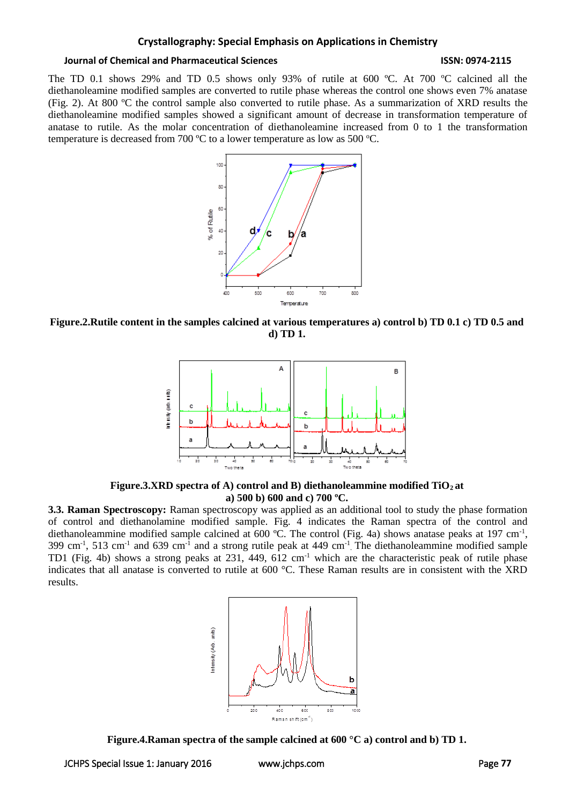#### **Crystallography: Special Emphasis on Applications in Chemistry**

#### **Journal of Chemical and Pharmaceutical Sciences ISSN: 0974-2115**

The TD 0.1 shows 29% and TD 0.5 shows only 93% of rutile at 600 ºC. At 700 ºC calcined all the diethanoleamine modified samples are converted to rutile phase whereas the control one shows even 7% anatase (Fig. 2). At 800 ºC the control sample also converted to rutile phase. As a summarization of XRD results the diethanoleamine modified samples showed a significant amount of decrease in transformation temperature of anatase to rutile. As the molar concentration of diethanoleamine increased from 0 to 1 the transformation temperature is decreased from 700  $^{\circ}$ C to a lower temperature as low as 500  $^{\circ}$ C.



**Figure.2.Rutile content in the samples calcined at various temperatures a) control b) TD 0.1 c) TD 0.5 and d) TD 1.**



**Figure.3.XRD spectra of A) control and B) diethanoleammine modified TiO2 at a) 500 b) 600 and c) 700 ºC.**

**3.3. Raman Spectroscopy:** Raman spectroscopy was applied as an additional tool to study the phase formation of control and diethanolamine modified sample. Fig. 4 indicates the Raman spectra of the control and diethanoleammine modified sample calcined at 600 °C. The control (Fig. 4a) shows anatase peaks at 197 cm<sup>-1</sup>,  $399 \text{ cm}^{-1}$ ,  $513 \text{ cm}^{-1}$  and  $639 \text{ cm}^{-1}$  and a strong rutile peak at 449 cm<sup>-1</sup>. The diethanoleammine modified sample TD1 (Fig. 4b) shows a strong peaks at 231, 449, 612 cm<sup>-1</sup> which are the characteristic peak of rutile phase indicates that all anatase is converted to rutile at 600 °C. These Raman results are in consistent with the XRD results.



**Figure.4.Raman spectra of the sample calcined at 600 °C a) control and b) TD 1.**